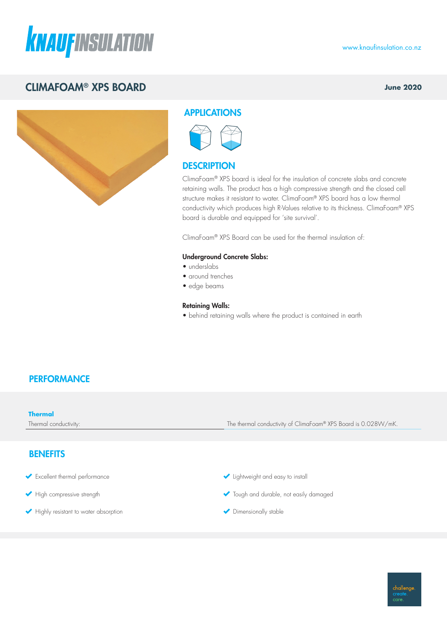

# CLIMAFOAM® XPS BOARD

**June 2020**



## APPLICATIONS



## **DESCRIPTION**

ClimaFoam® XPS board is ideal for the insulation of concrete slabs and concrete retaining walls. The product has a high compressive strength and the closed cell structure makes it resistant to water. ClimaFoam® XPS board has a low thermal conductivity which produces high R-Values relative to its thickness. ClimaFoam® XPS board is durable and equipped for 'site survival'.

ClimaFoam® XPS Board can be used for the thermal insulation of:

### Underground Concrete Slabs:

- underslabs
- around trenches
- edge beams

#### Retaining Walls:

• behind retaining walls where the product is contained in earth

### **PERFORMANCE**

| <b>Thermal</b><br>Thermal conductivity: | The thermal conductivity of ClimaFoam® XPS Board is 0.028W/mK. |
|-----------------------------------------|----------------------------------------------------------------|
|                                         |                                                                |
| <b>BENEFITS</b>                         |                                                                |

- Excellent thermal performance
- High compressive strength
- Highly resistant to water absorption
- Iightweight and easy to install
- **v** Tough and durable, not easily damaged
- Dimensionally stable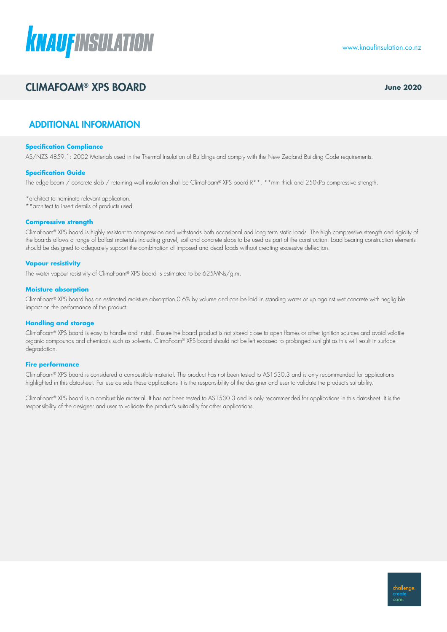

## CLIMAFOAM® XPS BOARD **June 2020**

## ADDITIONAL INFORMATION

#### **Specification Compliance**

AS/NZS 4859.1: 2002 Materials used in the Thermal Insulation of Buildings and comply with the New Zealand Building Code requirements.

#### **Specification Guide**

The edge beam / concrete slab / retaining wall insulation shall be ClimaFoam® XPS board R\*\*, \*\*mm thick and 250kPa compressive strength.

\*architect to nominate relevant application.

\*\*architect to insert details of products used.

#### **Compressive strength**

ClimaFoam® XPS board is highly resistant to compression and withstands both occasional and long term static loads. The high compressive strength and rigidity of the boards allows a range of ballast materials including gravel, soil and concrete slabs to be used as part of the construction. Load bearing construction elements should be designed to adequately support the combination of imposed and dead loads without creating excessive deflection.

#### **Vapour resistivity**

The water vapour resistivity of ClimaFoam® XPS board is estimated to be 625MNs/g.m.

#### **Moisture absorption**

ClimaFoam® XPS board has an estimated moisture absorption 0.6% by volume and can be laid in standing water or up against wet concrete with negligible impact on the performance of the product.

#### **Handling and storage**

ClimaFoam® XPS board is easy to handle and install. Ensure the board product is not stored close to open flames or other ignition sources and avoid volatile organic compounds and chemicals such as solvents. ClimaFoam® XPS board should not be left exposed to prolonged sunlight as this will result in surface degradation.

#### **Fire performance**

ClimaFoam® XPS board is considered a combustible material. The product has not been tested to AS1530.3 and is only recommended for applications highlighted in this datasheet. For use outside these applications it is the responsibility of the designer and user to validate the product's suitability.

ClimaFoam® XPS board is a combustible material. It has not been tested to AS1530.3 and is only recommended for applications in this datasheet. It is the responsibility of the designer and user to validate the product's suitability for other applications.